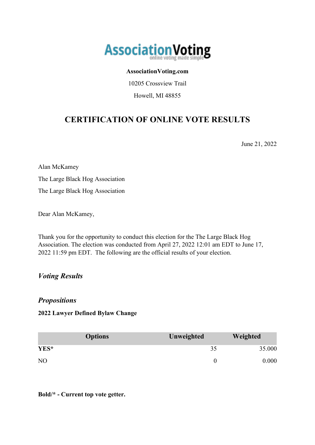

#### **AssociationVoting.com**

10205 Crossview Trail

Howell, MI 48855

## **CERTIFICATION OF ONLINE VOTE RESULTS**

June 21, 2022

Alan McKamey The Large Black Hog Association The Large Black Hog Association

Dear Alan McKamey,

Thank you for the opportunity to conduct this election for the The Large Black Hog Association. The election was conducted from April 27, 2022 12:01 am EDT to June 17, 2022 11:59 pm EDT. The following are the official results of your election.

### *Voting Results*

#### *Propositions*

#### **2022 Lawyer Defined Bylaw Change**

|                | <b>Options</b> | Unweighted | Weighted |
|----------------|----------------|------------|----------|
| YES*           |                | 35         | 35.000   |
| N <sub>O</sub> |                |            | 0.000    |

**Bold/\* - Current top vote getter.**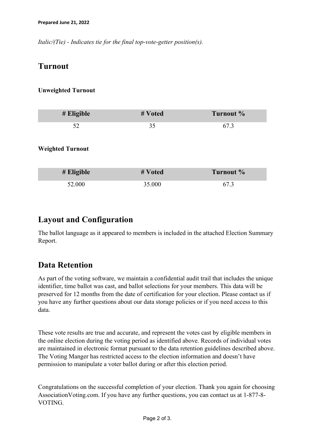*Italic/(Tie) - Indicates tie for the final top-vote-getter position(s).*

### **Turnout**

#### **Unweighted Turnout**

| # Eligible              | # Voted | Turnout % |
|-------------------------|---------|-----------|
| 52                      | 35      | 67.3      |
| <b>Weighted Turnout</b> |         |           |
| $#$ Eligible            | # Voted | Turnout % |
| 52.000                  | 35.000  | 67.3      |

### **Layout and Configuration**

The ballot language as it appeared to members is included in the attached Election Summary Report.

### **Data Retention**

As part of the voting software, we maintain a confidential audit trail that includes the unique identifier, time ballot was cast, and ballot selections for your members. This data will be preserved for 12 months from the date of certification for your election. Please contact us if you have any further questions about our data storage policies or if you need access to this data.

These vote results are true and accurate, and represent the votes cast by eligible members in the online election during the voting period as identified above. Records of individual votes are maintained in electronic format pursuant to the data retention guidelines described above. The Voting Manger has restricted access to the election information and doesn't have permission to manipulate a voter ballot during or after this election period.

Congratulations on the successful completion of your election. Thank you again for choosing AssociationVoting.com. If you have any further questions, you can contact us at 1-877-8- VOTING.